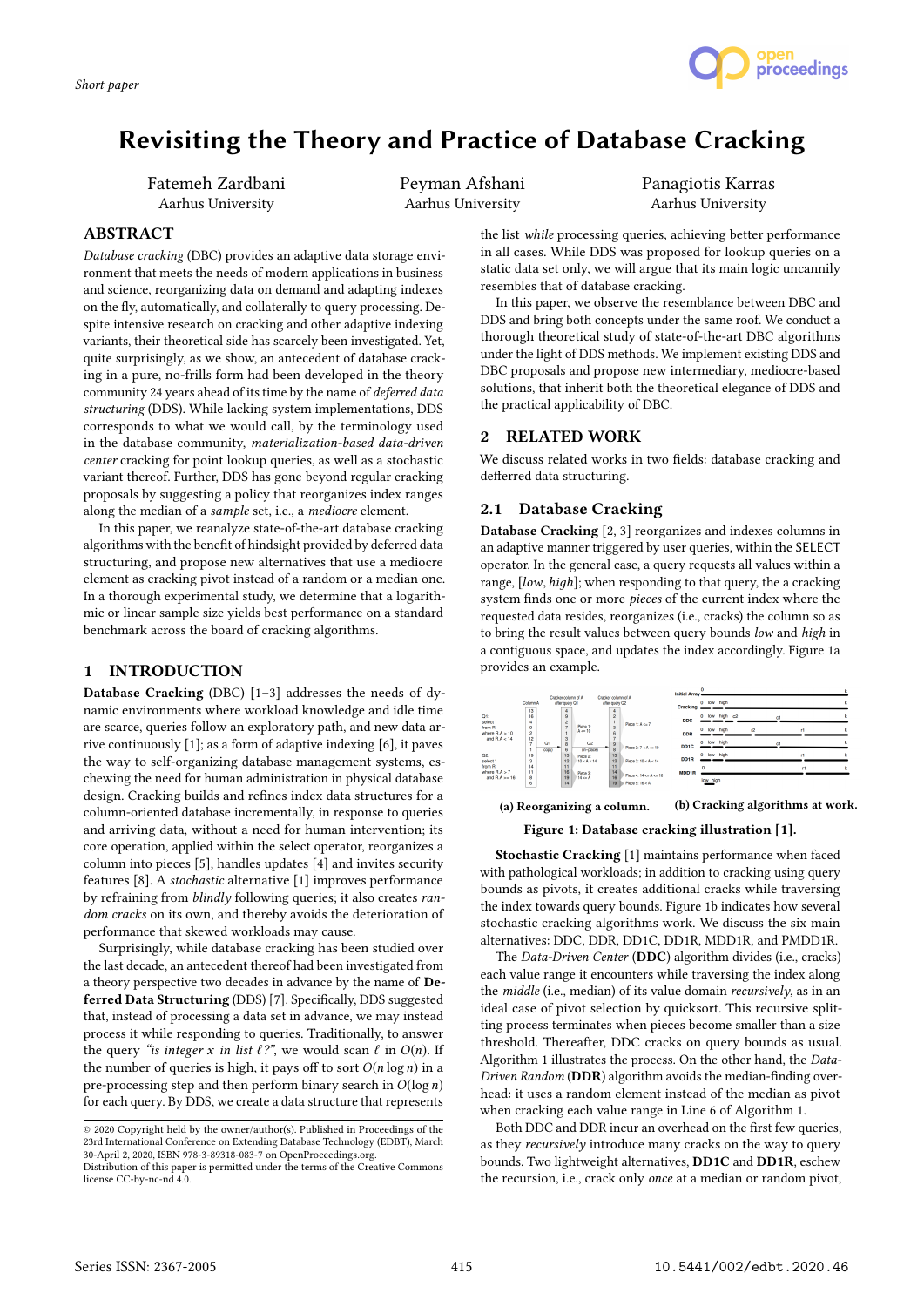

# Revisiting the Theory and Practice of Database Cracking

Fatemeh Zardbani Aarhus University

Peyman Afshani Aarhus University

Panagiotis Karras Aarhus University

## ABSTRACT

Database cracking (DBC) provides an adaptive data storage environment that meets the needs of modern applications in business and science, reorganizing data on demand and adapting indexes on the fly, automatically, and collaterally to query processing. Despite intensive research on cracking and other adaptive indexing variants, their theoretical side has scarcely been investigated. Yet, quite surprisingly, as we show, an antecedent of database cracking in a pure, no-frills form had been developed in the theory community 24 years ahead of its time by the name of deferred data structuring (DDS). While lacking system implementations, DDS corresponds to what we would call, by the terminology used in the database community, materialization-based data-driven center cracking for point lookup queries, as well as a stochastic variant thereof. Further, DDS has gone beyond regular cracking proposals by suggesting a policy that reorganizes index ranges along the median of a sample set, i.e., a mediocre element.

In this paper, we reanalyze state-of-the-art database cracking algorithms with the benefit of hindsight provided by deferred data structuring, and propose new alternatives that use a mediocre element as cracking pivot instead of a random or a median one. In a thorough experimental study, we determine that a logarithmic or linear sample size yields best performance on a standard benchmark across the board of cracking algorithms.

## 1 INTRODUCTION

Database Cracking (DBC) [1–3] addresses the needs of dynamic environments where workload knowledge and idle time are scarce, queries follow an exploratory path, and new data arrive continuously [1]; as a form of adaptive indexing [6], it paves the way to self-organizing database management systems, eschewing the need for human administration in physical database design. Cracking builds and refines index data structures for a column-oriented database incrementally, in response to queries and arriving data, without a need for human intervention; its core operation, applied within the select operator, reorganizes a column into pieces [5], handles updates [4] and invites security features [8]. A stochastic alternative [1] improves performance by refraining from blindly following queries; it also creates random cracks on its own, and thereby avoids the deterioration of performance that skewed workloads may cause.

Surprisingly, while database cracking has been studied over the last decade, an antecedent thereof had been investigated from a theory perspective two decades in advance by the name of Deferred Data Structuring (DDS) [7]. Specifically, DDS suggested that, instead of processing a data set in advance, we may instead process it while responding to queries. Traditionally, to answer the query "is integer x in list  $\ell$ ?", we would scan  $\ell$  in  $O(n)$ . If the number of queries is high, it pays off to sort  $O(n \log n)$  in a pre-processing step and then perform binary search in  $O(\log n)$ for each query. By DDS, we create a data structure that represents

the list while processing queries, achieving better performance in all cases. While DDS was proposed for lookup queries on a static data set only, we will argue that its main logic uncannily resembles that of database cracking.

In this paper, we observe the resemblance between DBC and DDS and bring both concepts under the same roof. We conduct a thorough theoretical study of state-of-the-art DBC algorithms under the light of DDS methods. We implement existing DDS and DBC proposals and propose new intermediary, mediocre-based solutions, that inherit both the theoretical elegance of DDS and the practical applicability of DBC.

## 2 RELATED WORK

We discuss related works in two fields: database cracking and defferred data structuring.

## 2.1 Database Cracking

Database Cracking [2, 3] reorganizes and indexes columns in an adaptive manner triggered by user queries, within the SELECT operator. In the general case, a query requests all values within a range, [low, high]; when responding to that query, the a cracking system finds one or more pieces of the current index where the requested data resides, reorganizes (i.e., cracks) the column so as to bring the result values between query bounds low and high in a contiguous space, and updates the index accordingly. Figure 1a provides an example.



(a) Reorganizing a column. (b) Cracking algorithms at work.

Figure 1: Database cracking illustration [1].

Stochastic Cracking [1] maintains performance when faced with pathological workloads; in addition to cracking using query bounds as pivots, it creates additional cracks while traversing the index towards query bounds. Figure 1b indicates how several stochastic cracking algorithms work. We discuss the six main alternatives: DDC, DDR, DD1C, DD1R, MDD1R, and PMDD1R.

The Data-Driven Center (DDC) algorithm divides (i.e., cracks) each value range it encounters while traversing the index along the middle (i.e., median) of its value domain recursively, as in an ideal case of pivot selection by quicksort. This recursive splitting process terminates when pieces become smaller than a size threshold. Thereafter, DDC cracks on query bounds as usual. Algorithm 1 illustrates the process. On the other hand, the Data-Driven Random (DDR) algorithm avoids the median-finding overhead: it uses a random element instead of the median as pivot when cracking each value range in Line 6 of Algorithm 1.

Both DDC and DDR incur an overhead on the first few queries, as they recursively introduce many cracks on the way to query bounds. Two lightweight alternatives, DD1C and DD1R, eschew the recursion, i.e., crack only once at a median or random pivot,

<sup>©</sup> 2020 Copyright held by the owner/author(s). Published in Proceedings of the 23rd International Conference on Extending Database Technology (EDBT), March 30-April 2, 2020, ISBN 978-3-89318-083-7 on OpenProceedings.org.

Distribution of this paper is permitted under the terms of the Creative Commons license CC-by-nc-nd 4.0.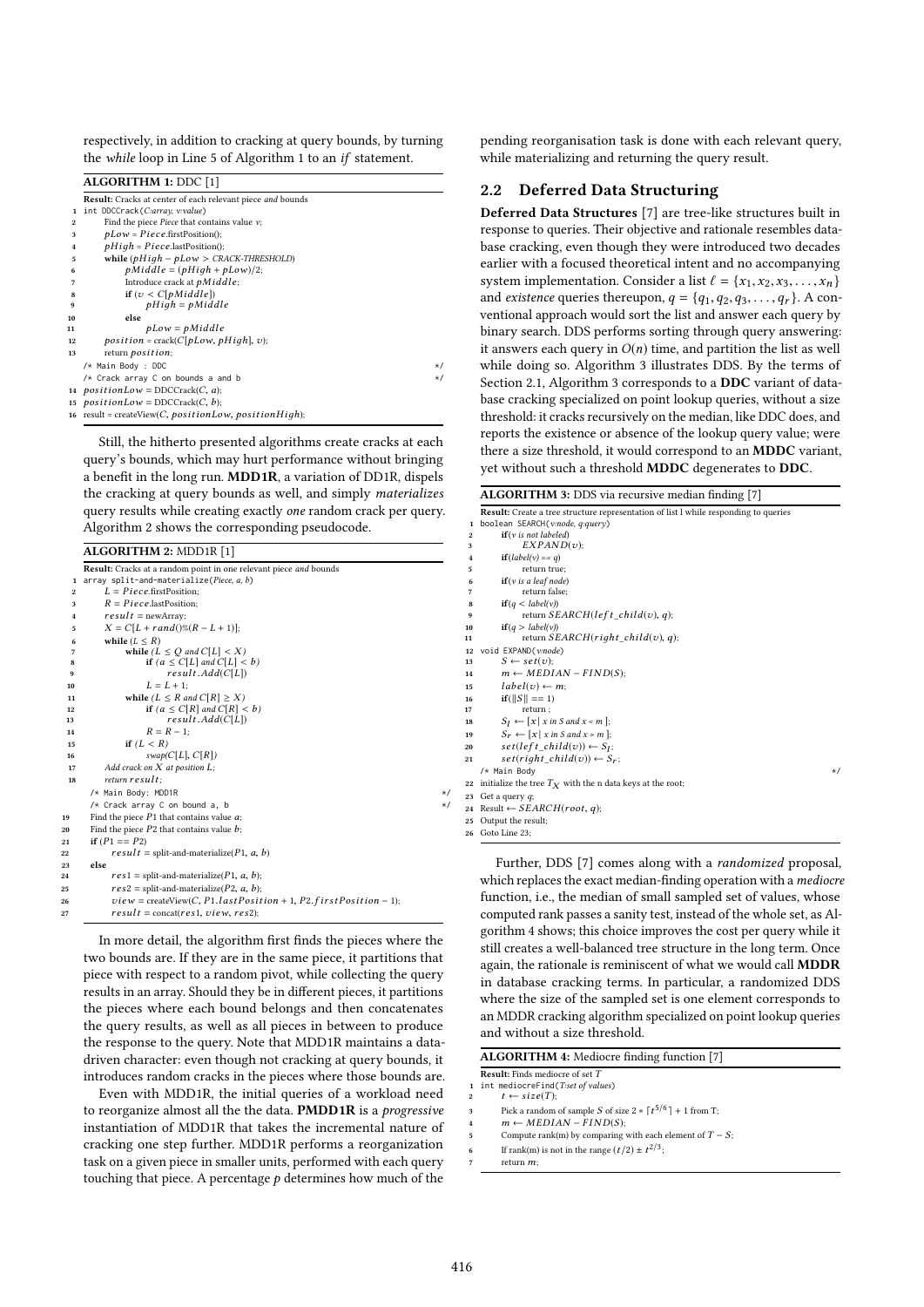respectively, in addition to cracking at query bounds, by turning the while loop in Line 5 of Algorithm 1 to an if statement.

ALGORITHM 1: DDC [1]

|                         | Result: Cracks at center of each relevant piece and bounds |          |
|-------------------------|------------------------------------------------------------|----------|
| 1                       | int DDCCrack(C:array, v:value)                             |          |
| 2                       | Find the piece Piece that contains value $v$ ;             |          |
| 3                       | $pLow = Piece.firstPosition();$                            |          |
| $\overline{\mathbf{4}}$ | $pHigh = Pieceu$ .lastPosition();                          |          |
| 5                       | while $(pHigh - pLow > CRACT HRESHOLD)$                    |          |
| 6                       | $p Middle = (pHigh + pLow)/2;$                             |          |
| 7                       | Introduce crack at $p Middle;$                             |          |
| 8                       | if $(v < C[p Middle])$                                     |          |
| 9                       | $pHigh = pMiddle$                                          |          |
| 10                      | else                                                       |          |
| 11                      | $pLow = p Middle$                                          |          |
| 12                      | $position = crack(C[plow, pHigh], v);$                     |          |
| 13                      | return <i>position</i> ;                                   |          |
|                         | /* Main Body : DDC                                         | $\star/$ |
|                         | /* Crack array C on bounds a and b                         | $\star/$ |
|                         | 14 <i>positionLow</i> = DDCCrack(C, a);                    |          |
|                         | 15 $positionLow = DDCCrack(C, b);$                         |          |
|                         | 16 result = createView(C, positionLow, positionHigh);      |          |
|                         |                                                            |          |

Still, the hitherto presented algorithms create cracks at each query's bounds, which may hurt performance without bringing a benefit in the long run. MDD1R, a variation of DD1R, dispels the cracking at query bounds as well, and simply materializes query results while creating exactly one random crack per query. Algorithm 2 shows the corresponding pseudocode.

## ALGORITHM 2: MDD1R [1]

|                         | Result: Cracks at a random point in one relevant piece and bounds             |          |
|-------------------------|-------------------------------------------------------------------------------|----------|
| 1                       | array split-and-materialize(Piece, a, b)                                      |          |
| $\mathbf{2}$            | $L = Piece$ .firstPosition;                                                   |          |
| 3                       | $R = Piece$ .lastPosition:                                                    |          |
| $\overline{\mathbf{4}}$ | $result = newArray;$                                                          |          |
| 5                       | $X = C[L + rand() \% (R - L + 1)];$                                           |          |
| 6                       | while $(L \leq R)$                                                            |          |
| 7                       | while $(L \leq O$ and $C[L] < X$ )                                            |          |
| 8                       | if $(a \leq C[L]$ and $C[L] < b$ )                                            |          |
| 9                       | resultAdd(C[L])                                                               |          |
| 10                      | $L = L + 1$ :                                                                 |          |
| 11                      | while $(L \leq R$ and $C[R] \geq X)$                                          |          |
| 12                      | if $(a \leq C[R]$ and $C[R] < b$ )                                            |          |
| 13                      | resultAdd(C[L])                                                               |          |
| 14                      | $R = R - 1$ :                                                                 |          |
| 15                      | if $(L < R)$                                                                  |          |
| 16                      | swap(C[L], C[R])                                                              |          |
| 17                      | Add crack on $X$ at position $L$ ;                                            |          |
| 18                      | return result:                                                                |          |
|                         | /* Main Body: MDD1R                                                           | $\star/$ |
|                         | /* Crack array C on bound a, b                                                | $\star/$ |
| 19                      | Find the piece $P1$ that contains value $a$ ;                                 |          |
| 20                      | Find the piece $P2$ that contains value $b$ ;                                 |          |
| 21                      | if $(P1 == P2)$                                                               |          |
| 22                      | $result = split-and-materialize(P1, a, b)$                                    |          |
| 23                      | else                                                                          |          |
| 24                      | $res1 = split-and-materialize(P1, a, b);$                                     |          |
| 25                      | $res2 = split$ -and-materialize(P2, a, b);                                    |          |
| 26                      | $view = \text{createView}(C, P1. last Position + 1, P2. first Position - 1);$ |          |
| 27                      | $result = \text{concat} (res1, view, res2);$                                  |          |
|                         |                                                                               |          |

In more detail, the algorithm first finds the pieces where the two bounds are. If they are in the same piece, it partitions that piece with respect to a random pivot, while collecting the query results in an array. Should they be in different pieces, it partitions the pieces where each bound belongs and then concatenates the query results, as well as all pieces in between to produce the response to the query. Note that MDD1R maintains a datadriven character: even though not cracking at query bounds, it introduces random cracks in the pieces where those bounds are.

Even with MDD1R, the initial queries of a workload need to reorganize almost all the the data. PMDD1R is a progressive instantiation of MDD1R that takes the incremental nature of cracking one step further. MDD1R performs a reorganization task on a given piece in smaller units, performed with each query touching that piece. A percentage  $p$  determines how much of the

pending reorganisation task is done with each relevant query, while materializing and returning the query result.

## 2.2 Deferred Data Structuring

Deferred Data Structures [7] are tree-like structures built in response to queries. Their objective and rationale resembles database cracking, even though they were introduced two decades earlier with a focused theoretical intent and no accompanying system implementation. Consider a list  $\ell = \{x_1, x_2, x_3, \ldots, x_n\}$ and *existence* queries thereupon,  $q = \{q_1, q_2, q_3, \ldots, q_r\}$ . A conventional approach would sort the list and answer each query by binary search. DDS performs sorting through query answering: it answers each query in  $O(n)$  time, and partition the list as well while doing so. Algorithm 3 illustrates DDS. By the terms of Section 2.1, Algorithm 3 corresponds to a DDC variant of database cracking specialized on point lookup queries, without a size threshold: it cracks recursively on the median, like DDC does, and reports the existence or absence of the lookup query value; were there a size threshold, it would correspond to an MDDC variant, yet without such a threshold MDDC degenerates to DDC.

|              | <b>ALGORITHM 3:</b> DDS via recursive median finding [7]                                    |
|--------------|---------------------------------------------------------------------------------------------|
|              | <b>Result:</b> Create a tree structure representation of list I while responding to queries |
| 1            | boolean SEARCH (v:node, q:query)                                                            |
| $\mathbf{2}$ | $if(v \text{ is not labeled})$                                                              |
| 3            | EXPAND(v);                                                                                  |
| 4            | $if(label(v) == q)$                                                                         |
| 5            | return true;                                                                                |
| 6            | if(v is a leaf node)                                                                        |
| 7            | return false;                                                                               |
| 8            | if(q < label(v))                                                                            |
| 9            | return $SEARCH(left\_child(v), q);$                                                         |
| 10           | if(q > label(v))                                                                            |
| 11           | return $SEARCH(right\_child(v), q)$ ;                                                       |
| 12           | void EXPAND(v:node)                                                                         |
| 13           | $S \leftarrow set(v);$                                                                      |
| 14           | $m \leftarrow MEDIAN - FIND(S);$                                                            |
| 15           | $label(v) \leftarrow m$                                                                     |
| 16           | $if(  S   == 1)$                                                                            |
| 17           | return;                                                                                     |
| 18           | $S_I \leftarrow [x \mid x \text{ in } S \text{ and } x < m];$                               |
| 19           | $S_r \leftarrow [x \mid x \text{ in } S \text{ and } x \geq m];$                            |
| 20           | $set(left\_child(v)) \leftarrow S_I;$                                                       |
| 21           | $set(right_cchild(v)) \leftarrow S_r;$                                                      |
|              | /* Main Body<br>$\star/$                                                                    |
| 22           | initialize the tree $T_X$ with the n data keys at the root;                                 |
|              | 23 Get a query $q$ ;                                                                        |
|              | 24 Result $\leftarrow$ SEARCH(root, q);                                                     |
|              | 25 Output the result:                                                                       |

<sup>25</sup> Output the result; <sup>26</sup> Goto Line 23;

Further, DDS [7] comes along with a randomized proposal, which replaces the exact median-finding operation with a *mediocre* function, i.e., the median of small sampled set of values, whose computed rank passes a sanity test, instead of the whole set, as Algorithm 4 shows; this choice improves the cost per query while it still creates a well-balanced tree structure in the long term. Once again, the rationale is reminiscent of what we would call MDDR in database cracking terms. In particular, a randomized DDS where the size of the sampled set is one element corresponds to an MDDR cracking algorithm specialized on point lookup queries and without a size threshold.

| ALGORITHM 4: Mediocre finding function [7] |
|--------------------------------------------|
|--------------------------------------------|

Result: Finds mediocre of set T<br>1 int mediocreFind(T:set of values)

 $t \leftarrow size(T);$ 

3 Pick a random of sample S of size  $2 * [t^{5/6}] + 1$  from T;

 $m \leftarrow MEDIAN - FIND(S);$ 

Compute rank(m) by comparing with each element of  $T - S$ ;

6 If rank(m) is not in the range  $(t/2) \pm t^{2/3}$ ;  $return m$ ;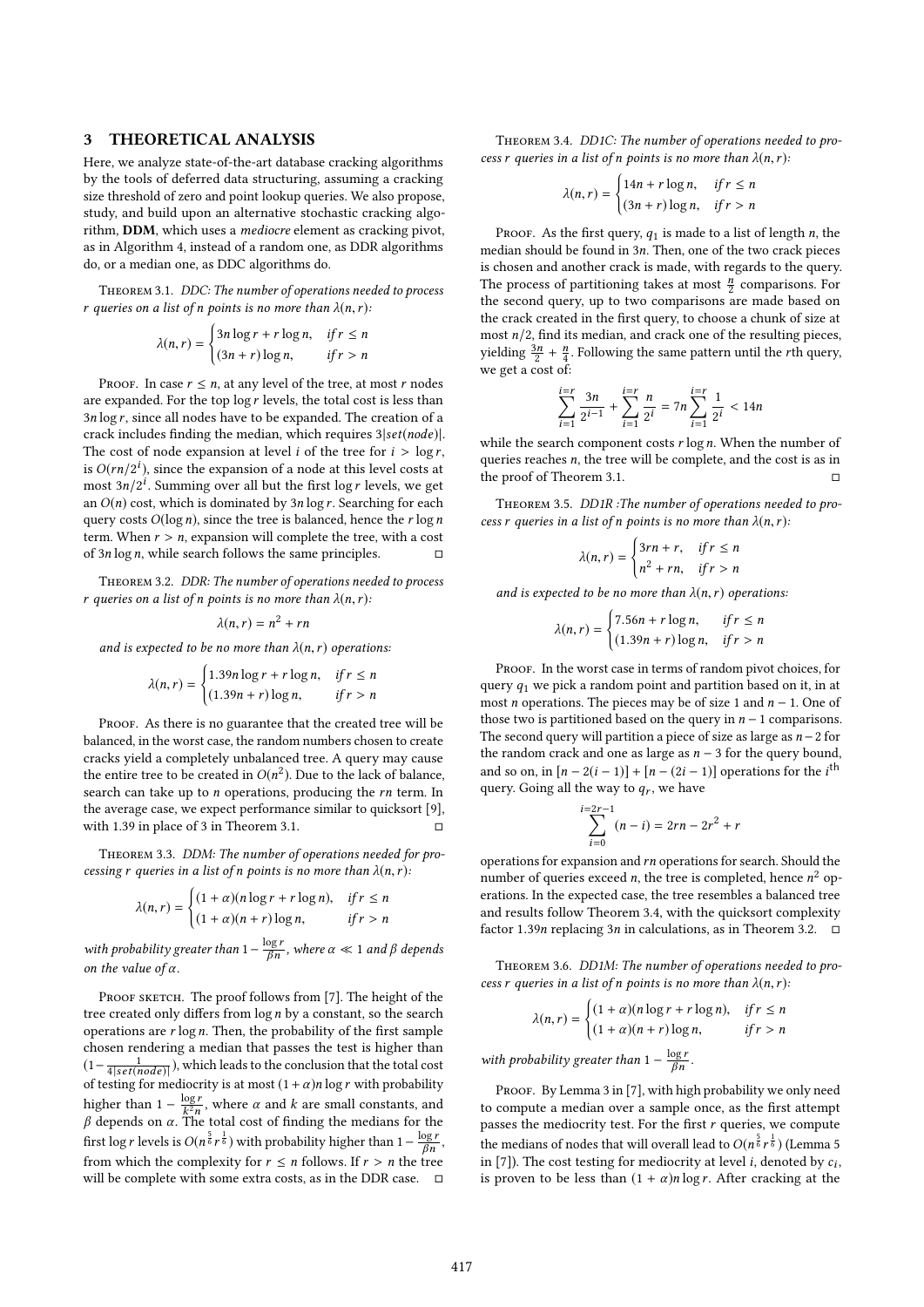#### 3 THEORETICAL ANALYSIS

Here, we analyze state-of-the-art database cracking algorithms by the tools of deferred data structuring, assuming a cracking size threshold of zero and point lookup queries. We also propose, study, and build upon an alternative stochastic cracking algorithm, DDM, which uses a mediocre element as cracking pivot, as in Algorithm 4, instead of a random one, as DDR algorithms do, or a median one, as DDC algorithms do.

Theorem 3.1. DDC: The number of operations needed to process r queries on a list of n points is no more than  $\lambda(n,r)$ :

$$
\lambda(n,r) = \begin{cases} 3n \log r + r \log n, & \text{if } r \le n \\ (3n+r) \log n, & \text{if } r > n \end{cases}
$$

PROOF. In case  $r \leq n$ , at any level of the tree, at most r nodes are expanded. For the top  $\log r$  levels, the total cost is less than  $3n \log r$ , since all nodes have to be expanded. The creation of a crack includes finding the median, which requires 3|set(node)|. The cost of node expansion at level *i* of the tree for  $i > \log r$ , is  $O(rn/2^i)$ , since the expansion of a node at this level costs at most  $3n/2^i$ . Summing over all but the first log r levels, we get most  $3n/2^i$ . Summing over all but the first log r levels, we get<br>an  $O(n)$  cost which is dominated by  $3n \log r$ . Searching for each an  $O(n)$  cost, which is dominated by  $3n \log r$ . Searching for each query costs  $O(\log n)$ , since the tree is balanced, hence the r  $\log n$ term. When  $r > n$ , expansion will complete the tree, with a cost of 3n log n, while search follows the same principles of  $3n \log n$ , while search follows the same principles.

Theorem 3.2. DDR: The number of operations needed to process r queries on a list of n points is no more than  $\lambda(n,r)$ :

$$
\lambda(n,r)=n^2+rn
$$

and is expected to be no more than  $\lambda(n,r)$  operations:

$$
\lambda(n,r) = \begin{cases} 1.39n \log r + r \log n, & \text{if } r \le n \\ (1.39n + r) \log n, & \text{if } r > n \end{cases}
$$

PROOF. As there is no guarantee that the created tree will be balanced, in the worst case, the random numbers chosen to create cracks yield a completely unbalanced tree. A query may cause the entire tree to be created in  $O(n^2)$ . Due to the lack of balance,<br>search can take up to n operations, producing the rn term. In search can take up to *n* operations, producing the *rn* term. In the average case, we expect performance similar to quicksort [9], with  $1.39$  in place of  $3$  in Theorem  $3.1$ .

Theorem 3.3. DDM: The number of operations needed for processing r queries in a list of n points is no more than  $\lambda(n,r)$ :

$$
\lambda(n,r) = \begin{cases} (1+\alpha)(n\log r + r\log n), & \text{if } r \le n \\ (1+\alpha)(n+r)\log n, & \text{if } r > n \end{cases}
$$

with probability greater than  $1-\frac{\log r}{\beta n}$  $\frac{\log r}{\beta n}$ , where  $\alpha \ll 1$  and  $\beta$  depends on the value of  $\alpha$ .

PROOF SKETCH. The proof follows from [7]. The height of the tree created only differs from  $\log n$  by a constant, so the search operations are  $r \log n$ . Then, the probability of the first sample chosen rendering a median that passes the test is higher than  $\left(1-\frac{1}{4|set(node)|}\right)$ , which leads to the conclusion that the total cost<br>of testing for mediocrity is at most  $\left(1+\alpha\right)$ n log r with probability of testing for mediocrity is at most  $(1 + \alpha)n \log r$  with probability higher than  $1 - \frac{\log t}{k^2 n}$  $\frac{\log r}{k^2 n}$ , where α and k are small constants, and<br>The total cost of finding the medians for the β depends on  $\alpha$ . The total cost of finding the medians for the cost of  $\frac{5}{2}$  is the cost of the distribution of  $\frac{\log r}{r}$ first log r levels is  $O(n^{\frac{5}{6}}r^{\frac{1}{6}})$  with probability higher than  $1-\frac{\log r}{\beta n}$ , from which the complexity for  $r \le n$  follows. If  $r > n$  the tree will be complete with some extra costs, as in the DDR case.  $□$ 

THEOREM 3.4. DD1C: The number of operations needed to process r queries in a list of n points is no more than  $\lambda(n,r)$ :

$$
\lambda(n,r) = \begin{cases} 14n + r \log n, & \text{if } r \le n \\ (3n + r) \log n, & \text{if } r > n \end{cases}
$$

PROOF. As the first query,  $q_1$  is made to a list of length n, the median should be found in <sup>3</sup>n. Then, one of the two crack pieces is chosen and another crack is made, with regards to the query. The process of partitioning takes at most  $\frac{n}{2}$  comparisons. For the second query, up to two comparisons are made based on the crack created in the first query, to choose a chunk of size at most  $n/2$ , find its median, and crack one of the resulting pieces, yielding  $\frac{3n}{2} + \frac{n}{4}$ . Following the same pattern until the rth query, we get a cost of:

$$
\sum_{i=1}^{i=r} \frac{3n}{2^{i-1}} + \sum_{i=1}^{i=r} \frac{n}{2^i} = 7n \sum_{i=1}^{i=r} \frac{1}{2^i} < 14n
$$

while the search component costs  $r \log n$ . When the number of queries reaches  $n$ , the tree will be complete, and the cost is as in queries reaches *n*, the tree will be complete, and the cost is as in the proof of Theorem 3.1 the proof of Theorem 3.1.

Theorem 3.5. DD1R :The number of operations needed to process r queries in a list of n points is no more than  $\lambda(n, r)$ :

$$
\lambda(n,r) = \begin{cases} 3rn + r, & \text{if } r \le n \\ n^2 + rn, & \text{if } r > n \end{cases}
$$

and is expected to be no more than  $\lambda(n, r)$  operations:

$$
\lambda(n,r) = \begin{cases} 7.56n + r \log n, & \text{if } r \le n \\ (1.39n + r) \log n, & \text{if } r > n \end{cases}
$$

PROOF. In the worst case in terms of random pivot choices, for query  $q_1$  we pick a random point and partition based on it, in at most *n* operations. The pieces may be of size 1 and  $n - 1$ . One of those two is partitioned based on the query in  $n - 1$  comparisons. The second query will partition a piece of size as large as  $n-2$  for the random crack and one as large as  $n - 3$  for the query bound, and so on, in  $[n-2(i-1)] + [n-(2i-1)]$  operations for the *i*<sup>th</sup><br>query Going all the way to *g*, we have query. Going all the way to  $q_r$ , we have

$$
\sum_{i=0}^{i=2r-1} (n-i) = 2rn - 2r^2 + r
$$

operations for expansion and rn operations for search. Should the number of queries exceed n, the tree is completed, being  $n^2$  on number of queries exceed *n*, the tree is completed, hence  $n^2$  op-<br>erations. In the expected case, the tree resembles a balanced tree erations. In the expected case, the tree resembles a balanced tree and results follow Theorem 3.4, with the quicksort complexity factor 1.39n replacing  $3n$  in calculations, as in Theorem 3.2.  $\Box$ 

Theorem 3.6. DD1M: The number of operations needed to process r queries in a list of n points is no more than  $\lambda(n,r)$ :

$$
\lambda(n,r) = \begin{cases} (1+\alpha)(n\log r + r\log n), & \text{if } r \le n \\ (1+\alpha)(n+r)\log n, & \text{if } r > n \end{cases}
$$

βn

with probability greater than  $1 - \frac{\log r}{\beta n}$ .

PROOF. By Lemma 3 in [7], with high probability we only need to compute a median over a sample once, as the first attempt passes the mediocrity test. For the first  $r$  queries, we compute the medians of nodes that will overall lead to  $O(n^{\frac{5}{6}}r^{\frac{1}{6}})$  (Lemma 5 in [7]). The cost testing for mediocrity at level *i*, denoted by control in [7]). The cost testing for mediocrity at level *i*, denoted by  $c_i$ , is proven to be less than  $(1 + \alpha)$  plas r. After cracking at the is proven to be less than  $(1 + \alpha)n \log r$ . After cracking at the